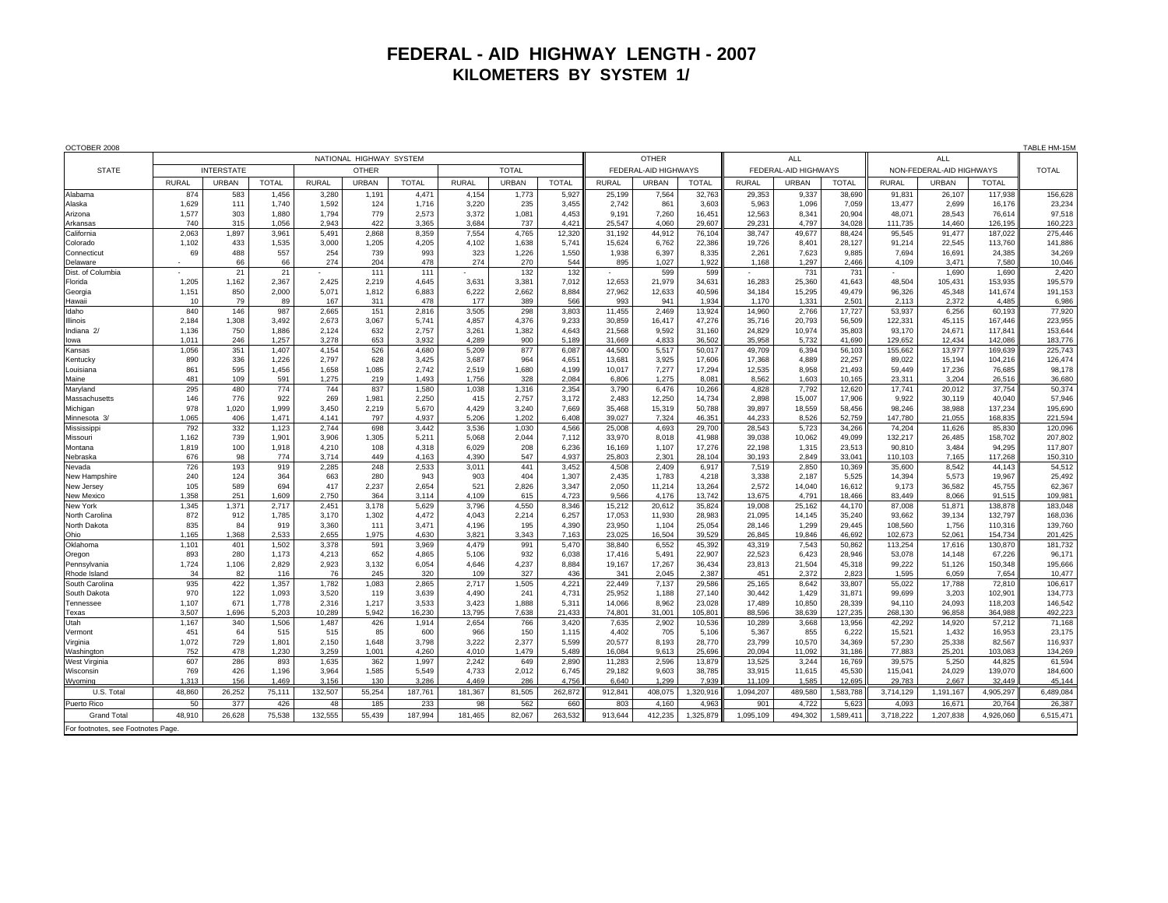## **FEDERAL - AID HIGHWAY LENGTH - 2007 KILOMETERS BY SYSTEM 1/**

| OCTOBER 2008                       |                         |                |                |                |                |                |                |                |                |                      |                 |                  |                      |                  |                  |                          |                  |                   |                    |
|------------------------------------|-------------------------|----------------|----------------|----------------|----------------|----------------|----------------|----------------|----------------|----------------------|-----------------|------------------|----------------------|------------------|------------------|--------------------------|------------------|-------------------|--------------------|
|                                    | NATIONAL HIGHWAY SYSTEM |                |                |                |                |                |                |                |                | <b>OTHER</b>         |                 |                  | ALL                  |                  |                  | <b>ALL</b>               |                  |                   |                    |
| <b>STATE</b>                       | <b>INTERSTATE</b>       |                |                | <b>OTHER</b>   |                |                | <b>TOTAL</b>   |                |                | FEDERAL-AID HIGHWAYS |                 |                  | FEDERAL-AID HIGHWAYS |                  |                  | NON-FEDERAL-AID HIGHWAYS |                  |                   | <b>TOTAL</b>       |
|                                    | <b>RURAL</b>            | <b>URBAN</b>   | <b>TOTAL</b>   | <b>RURAL</b>   | <b>URBAN</b>   | <b>TOTAL</b>   | <b>RURAL</b>   | <b>URBAN</b>   | <b>TOTAL</b>   | <b>RURAL</b>         | URBAN           | <b>TOTAL</b>     | <b>RURAL</b>         | <b>URBAN</b>     | <b>TOTAL</b>     | <b>RURAL</b>             | <b>URBAN</b>     | <b>TOTAL</b>      |                    |
| Alabama                            | 874                     | 583            | 1,456          | 3,280          | 1,19'          | 4,471          | 4,154          | 1,773          | 5,927          | 25,199               | 7,564           | 32,763           | 29,353               | 9,337            | 38,690           | 91,831                   | 26,107           | 117,938           | 156,628            |
| Alaska                             | 1,629                   | 111            | 1.740          | 1,592          | 124            | 1.716          | 3,220          | 235            | 3,455          | 2,742<br>9.191       | 861             | 3,603            | 5.963                | 1.096            | 7,059            | 13.477<br>48.071         | 2.699            | 16.176            | 23,234             |
| Arizona<br>Arkansas                | 1,577<br>740            | 303<br>315     | 1,880<br>1,056 | 1,794<br>2.943 | 779<br>422     | 2,573<br>3,365 | 3,372<br>3,684 | 1,081<br>737   | 4,453<br>4,421 | 25.547               | 7,260<br>4,060  | 16,451<br>29.607 | 12,563<br>29.231     | 8,34'<br>4.797   | 20,904<br>34,028 | 111,735                  | 28,543<br>14,460 | 76,614<br>126,195 | 97,518<br>160,223  |
| California                         | 2,063                   | 1,897          | 3,961          | 5,491          | 2,868          | 8,359          | 7,554          | 4,765          | 12,320         | 31,192               | 44,912          | 76,104           | 38,747               | 49,677           | 88,424           | 95,545                   | 91,477           | 187,022           | 275,446            |
| Colorado                           | 1,102                   | 433            | 1,535          | 3,000          | 1,205          | 4,205          | 4,102          | 1,638          | 5,741          | 15,624               | 6,762           | 22,386           | 19,726               | 8,401            | 28,127           | 91,214                   | 22,545           | 113,760           | 141,886            |
| Connecticut                        | 69                      | 488            | 557            | 254            | 739            | 993            | 323            | 1,226          | 1,550          | 1,938                | 6,397           | 8,335            | 2,261                | 7,623            | 9,885            | 7,694                    | 16,691           | 24,385            | 34,269             |
| Delaware                           |                         | 66             | 66             | 274            | 204            | 478            | 274            | 270            | 544            | 895                  | 1,027           | 1,922            | 1,168                | 1,297            | 2,466            | 4,109                    | 3,471            | 7,580             | 10,046             |
| Dist. of Columbia                  |                         | 2 <sup>1</sup> | 21             |                | 111            | 111            |                | 132            | 132            |                      | 599             | 599              |                      | 731              | 731              |                          | 1,690            | 1,690             | 2,420              |
| Florida                            | 1,205                   | 1,162          | 2,367          | 2,425          | 2.219          | 4.645          | 3,631          | 3,381          | 7,012          | 12.653               | 21,979          | 34,631           | 16,283               | 25,360           | 41,643           | 48,504                   | 105,431          | 153,935           | 195,579            |
| Georgia<br>Hawaii                  | 1,151<br>10             | 850<br>79      | 2.000<br>89    | 5.071<br>167   | 1.812<br>311   | 6.883<br>478   | 6.222<br>177   | 2.662<br>389   | 8.884<br>566   | 27.962<br>993        | 12,633<br>941   | 40.596<br>1.934  | 34.184<br>1.170      | 15.295<br>1.331  | 49.479<br>2,501  | 96.326<br>2.113          | 45.348<br>2,372  | 141.674<br>4.485  | 191,153<br>6,986   |
| Idaho                              | 840                     | 146            | 987            | 2,665          | 151            | 2,816          | 3,505          | 298            | 3,803          | 11.455               | 2,469           | 13,924           | 14,960               | 2,766            | 17,727           | 53,937                   | 6,256            | 60,193            | 77,920             |
| Illinois                           | 2,184                   | 1,308          | 3,492          | 2,673          | 3,067          | 5.741          | 4,857          | 4,376          | 9,233          | 30,859               | 16,417          | 47,276           | 35,716               | 20,793           | 56,509           | 122,331                  | 45,115           | 167.446           | 223,955            |
| Indiana <sub>2/</sub>              | 1.136                   | 750            | 1.886          | 2.124          | 632            | 2.757          | 3.261          | 1.382          | 4.643          | 21.568               | 9.592           | 31.160           | 24,829               | 10.974           | 35,803           | 93.170                   | 24.671           | 117.841           | 153.644            |
| lowa                               | 1,011                   | 246            | 1.257          | 3.278          | 653            | 3.932          | 4.289          | 900            | 5.189          | 31.669               | 4,833           | 36.502           | 35.958               | 5.732            | 41.690           | 129.652                  | 12,434           | 142.086           | 183,776            |
| Kansas                             | 1,056                   | 351            | 1,407          | 4,154          | 526            | 4,680          | 5,209          | 877            | 6,087          | 44,500               | 5,517           | 50,017           | 49,709               | 6,394            | 56,103           | 155,662                  | 13,977           | 169,639           | 225,743            |
| Kentucky                           | 890                     | 336            | 1,226          | 2,797          | 628            | 3,425          | 3,687          | 964            | 4,651          | 13,681               | 3,925           | 17,606           | 17,368               | 4,889            | 22,257           | 89,022                   | 15,194           | 104,216           | 126,474            |
| Louisiana                          | 861                     | 595            | 1,456          | 1,658          | 1,085          | 2,742          | 2,519          | 1,680          | 4,199          | 10,017               | 7,277           | 17,294           | 12,535               | 8,958            | 21,493           | 59,449                   | 17,236           | 76,685            | 98,178             |
| Maine                              | 481                     | 109            | 591<br>774     | 1,275<br>744   | 219            | 1,493          | 1,756          | 328            | 2,084          | 6,806                | 1,275           | 8,081            | 8,562                | 1,603            | 10,165           | 23,311                   | 3,204            | 26,516            | 36,680             |
| Maryland<br>Massachusetts          | 295<br>146              | 480<br>776     | 922            | 269            | 837<br>1,981   | 1,580<br>2,250 | 1,038<br>415   | 1,316<br>2,757 | 2,354<br>3,172 | 3,790<br>2,483       | 6,476<br>12,250 | 10,266<br>14,734 | 4,828<br>2,898       | 7,792<br>15,007  | 12,620<br>17,906 | 17,741<br>9,922          | 20,012<br>30,119 | 37,754<br>40,040  | 50,374<br>57,946   |
| Michigan                           | 978                     | 1,020          | 1,999          | 3,450          | 2,219          | 5,670          | 4,429          | 3,240          | 7,669          | 35,468               | 15,319          | 50,788           | 39,897               | 18,559           | 58,456           | 98,246                   | 38,988           | 137,234           | 195,690            |
| Minnesota 3/                       | 1,065                   | 406            | 1,471          | 4,141          | 797            | 4.937          | 5,206          | 1,202          | 6,408          | 39.027               | 7,324           | 46,351           | 44.233               | 8,526            | 52,759           | 147,780                  | 21,055           | 168,835           | 221,594            |
| Mississippi                        | 792                     | 332            | 1,123          | 2.744          | 698            | 3.442          | 3.536          | 1,030          | 4,566          | 25.008               | 4,693           | 29,700           | 28.543               | 5,723            | 34,266           | 74,204                   | 11,626           | 85,830            | 120,096            |
| Missouri                           | 1.162                   | 739            | 1.901          | 3.906          | 1.305          | 5.211          | 5.068          | 2.044          | 7.112          | 33.970               | 8.018           | 41.988           | 39,038               | 10.062           | 49.099           | 132.217                  | 26,485           | 158.702           | 207.802            |
| Montana                            | 1,819                   | 100            | 1,918          | 4.210          | 108            | 4.318          | 6,029          | 208            | 6,236          | 16.169               | 1,107           | 17,276           | 22,198               | 1,315            | 23,513           | 90.810                   | 3,484            | 94.295            | 117,807            |
| Nebraska                           | 676                     | 98             | 774            | 3.714          | 449            | 4.163          | 4.390          | 547            | 4.937          | 25.803               | 2.301           | 28.104           | 30.193               | 2.849            | 33.041           | 110.103                  | 7.165            | 117.268           | 150.310            |
| Nevada                             | 726                     | 193            | 919            | 2,285          | 248            | 2,533          | 3,011          | 441            | 3,452          | 4,508                | 2,409           | 6,917            | 7,519                | 2,850            | 10,369           | 35,600                   | 8,542            | 44,143            | 54,512             |
| New Hampshire<br>New Jersey        | 240<br>105              | 124<br>589     | 364<br>694     | 663<br>417     | 280<br>2.237   | 943<br>2,654   | 903<br>521     | 404<br>2,826   | 1,307<br>3,347 | 2.435<br>2,050       | 1,783<br>11,214 | 4,218<br>13,264  | 3,338<br>2,572       | 2,187<br>14,040  | 5,525<br>16,612  | 14,394<br>9,173          | 5,573<br>36,582  | 19,967<br>45,755  | 25,492<br>62,367   |
| <b>New Mexico</b>                  | 1,358                   | 251            | 1,609          | 2.750          | 364            | 3.114          | 4,109          | 615            | 4,723          | 9,566                | 4,176           | 13,742           | 13,675               | 4.791            | 18,466           | 83.449                   | 8,066            | 91,515            | 109,981            |
| New York                           | 1,345                   | 1,371          | 2,717          | 2,451          | 3,178          | 5,629          | 3,796          | 4,550          | 8,346          | 15,212               | 20,612          | 35,824           | 19,008               | 25,162           | 44,170           | 87,008                   | 51,871           | 138,87            | 183,048            |
| North Carolina                     | 872                     | 912            | 1,785          | 3,170          | 1,302          | 4,472          | 4,043          | 2,214          | 6,257          | 17,053               | 11,930          | 28,983           | 21,095               | 14,145           | 35,240           | 93,662                   | 39,134           | 132,797           | 168,036            |
| North Dakota                       | 835                     | 84             | 919            | 3,360          | 111            | 3,471          | 4,196          | 195            | 4,390          | 23,950               | 1,104           | 25,054           | 28,146               | 1,299            | 29,445           | 108,560                  | 1,756            | 110,316           | 139,760            |
| Ohio                               | 1.165                   | 1,368          | 2.533          | 2.655          | 1.975          | 4.630          | 3.821          | 3,343          | 7.163          | 23.025               | 16.504          | 39.529           | 26.845               | 19,846           | 46.692           | 102.673                  | 52.061           | 154.734           | 201,425            |
| Oklahoma                           | 1,101                   | 401            | 1,502          | 3,378          | 591            | 3,969          | 4,479          | 991            | 5,470          | 38,840               | 6,552           | 45,392           | 43,319               | 7,543            | 50,862           | 113,254                  | 17,616           | 130,870           | 181,732            |
| Oregon                             | 893<br>1,724            | 280<br>1,106   | 1,173<br>2,829 | 4,213<br>2,923 | 652<br>3,132   | 4,865<br>6,054 | 5,106<br>4,646 | 932<br>4,237   | 6,038<br>8,884 | 17,416<br>19,167     | 5,491<br>17,267 | 22,907<br>36,434 | 22,523<br>23,813     | 6,423<br>21,504  | 28,946<br>45,318 | 53,078<br>99,222         | 14,148<br>51,126 | 67,226<br>150,348 | 96,171<br>195,666  |
| Pennsylvania<br>Rhode Island       | 34                      | 82             | 116            | 76             | 245            | 320            | 109            | 327            | 436            | 341                  | 2.045           | 2.387            | 451                  | 2.372            | 2.823            | 1.595                    | 6.059            | 7.654             | 10.477             |
| South Carolina                     | 935                     | 422            | 1.357          | 1.782          | 1,083          | 2.865          | 2,717          | 1,505          | 4,221          | 22.449               | 7,137           | 29,586           | 25,165               | 8.642            | 33,807           | 55.022                   | 17.788           | 72,810            | 106,617            |
| South Dakota                       | 970                     | 122            | 1,093          | 3,520          | 119            | 3,639          | 4,490          | 241            | 4,731          | 25,952               | 1,188           | 27,140           | 30,442               | 1,429            | 31,871           | 99,699                   | 3,203            | 102,901           | 134,773            |
| Tennessee                          | 1,107                   | 671            | 1,778          | 2.316          | 1,217          | 3.533          | 3.423          | 1.888          | 5,311          | 14.066               | 8.962           | 23,028           | 17,489               | 10.850           | 28.339           | 94.110                   | 24,093           | 118,203           | 146,542            |
| Texas                              | 3,507                   | 1,696          | 5,203          | 10,289         | 5.942          | 16,230         | 13,795         | 7.638          | 21.433         | 74.801               | 31,001          | 105,801          | 88.596               | 38,639           | 127,235          | 268,130                  | 96,858           | 364.988           | 492,223            |
| Utah                               | 1,167                   | 340            | 1,506          | 1,487          | 426            | 1,914          | 2,654          | 766            | 3,420          | 7,635                | 2,902           | 10,536           | 10,289               | 3,668            | 13,956           | 42,292                   | 14,920           | 57,212            | 71,168             |
| Vermont                            | 451                     | 64             | 515            | 515            | 85             | 600            | 966            | 150            | 1,115          | 4,402                | 705             | 5,106            | 5,367                | 855              | 6,222            | 15,521                   | 1,432            | 16,953            | 23,175             |
| Virginia<br>Washington             | 1,072<br>752            | 729<br>478     | 1,801<br>1,230 | 2,150<br>3.259 | 1,648<br>1.001 | 3,798<br>4,260 | 3,222<br>4,010 | 2,377<br>1,479 | 5,599<br>5.489 | 20,577<br>16,084     | 8,193<br>9,613  | 28,770<br>25,696 | 23,799<br>20.094     | 10,570<br>11.092 | 34,369<br>31,186 | 57,230<br>77,883         | 25,338<br>25,201 | 82,567<br>103.083 | 116,937<br>134,269 |
| <b>West Virginia</b>               | 607                     | 286            | 893            | 1,635          | 362            | 1,997          | 2,242          | 649            | 2,890          | 11,283               | 2,596           | 13,879           | 13,525               | 3.244            | 16,769           | 39,575                   | 5,250            | 44,825            | 61,594             |
| Wisconsin                          | 769                     | 426            | 1.196          | 3,964          | 1.585          | 5.549          | 4,733          | 2.012          | 6.745          | 29.182               | 9.603           | 38,785           | 33.915               | 11.615           | 45.530           | 115.041                  | 24.029           | 139.070           | 184,600            |
| Wyoming                            | 1,313                   | 156            | 1.469          | 3.156          | 130            | 3.286          | 4,469          | 286            | 4.756          | 6,640                | 1,299           | 7.939            | 11.109               | 1.585            | 12,695           | 29.783                   | 2,667            | 32,449            | 45,144             |
| U.S. Total                         | 48,860                  | 26,252         | 75,111         | 132,507        | 55.254         | 187,761        | 181,367        | 81,505         | 262.872        | 912,841              | 408,075         | 1,320,916        | 1,094,207            | 489,580          | 1.583.788        | 3.714.129                | 1.191.167        | 4.905.297         | 6.489.084          |
| Puerto Rico                        | 50                      | 377            | 426            | 48             | 185            | 233            | 98             | 562            | 660            | 803                  | 4.160           | 4.963            | 90 <sup>1</sup>      | 4.722            | 5.623            | 4.093                    | 16,671           | 20,764            | 26,387             |
| <b>Grand Total</b>                 | 48.910                  | 26.628         | 75.538         | 132.555        | 55.439         | 187.994        | 181.465        | 82.067         | 263.532        | 913.644              | 412.235         | 1,325,879        | 1.095.109            | 494.302          | 1,589,411        | 3.718.222                | 1.207.838        | 4.926.060         | 6.515.471          |
| For footnotes, see Footnotes Page. |                         |                |                |                |                |                |                |                |                |                      |                 |                  |                      |                  |                  |                          |                  |                   |                    |